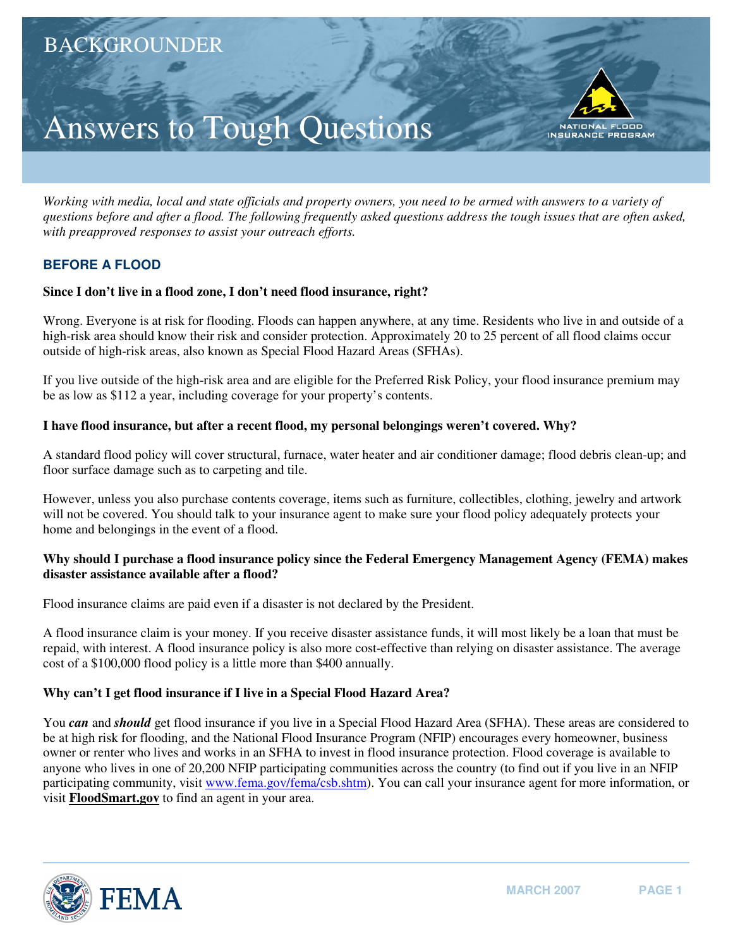# Answers to Tough Questions

*Working with media, local and state officials and property owners, you need to be armed with answers to a variety of questions before and after a flood. The following frequently asked questions address the tough issues that are often asked, with preapproved responses to assist your outreach efforts.* 

# **BEFORE A FLOOD**

# **Since I don't live in a flood zone, I don't need flood insurance, right?**

Wrong. Everyone is at risk for flooding. Floods can happen anywhere, at any time. Residents who live in and outside of a high-risk area should know their risk and consider protection. Approximately 20 to 25 percent of all flood claims occur outside of high-risk areas, also known as Special Flood Hazard Areas (SFHAs).

If you live outside of the high-risk area and are eligible for the Preferred Risk Policy, your flood insurance premium may be as low as \$112 a year, including coverage for your property's contents.

# **I have flood insurance, but after a recent flood, my personal belongings weren't covered. Why?**

A standard flood policy will cover structural, furnace, water heater and air conditioner damage; flood debris clean-up; and floor surface damage such as to carpeting and tile.

However, unless you also purchase contents coverage, items such as furniture, collectibles, clothing, jewelry and artwork will not be covered. You should talk to your insurance agent to make sure your flood policy adequately protects your home and belongings in the event of a flood.

# **Why should I purchase a flood insurance policy since the Federal Emergency Management Agency (FEMA) makes disaster assistance available after a flood?**

Flood insurance claims are paid even if a disaster is not declared by the President.

A flood insurance claim is your money. If you receive disaster assistance funds, it will most likely be a loan that must be repaid, with interest. A flood insurance policy is also more cost-effective than relying on disaster assistance. The average cost of a \$100,000 flood policy is a little more than \$400 annually.

# **Why can't I get flood insurance if I live in a Special Flood Hazard Area?**

You *can* and *should* get flood insurance if you live in a Special Flood Hazard Area (SFHA). These areas are considered to be at high risk for flooding, and the National Flood Insurance Program (NFIP) encourages every homeowner, business owner or renter who lives and works in an SFHA to invest in flood insurance protection. Flood coverage is available to anyone who lives in one of 20,200 NFIP participating communities across the country (to find out if you live in an NFIP participating community, visit www.fema.gov/fema/csb.shtm). You can call your insurance agent for more information, or visit **[FloodSmart.gov](http://FloodSmart.gov)** to find an agent in your area.



FLOOD

**NATIONAL INSURANCE PROGRAM**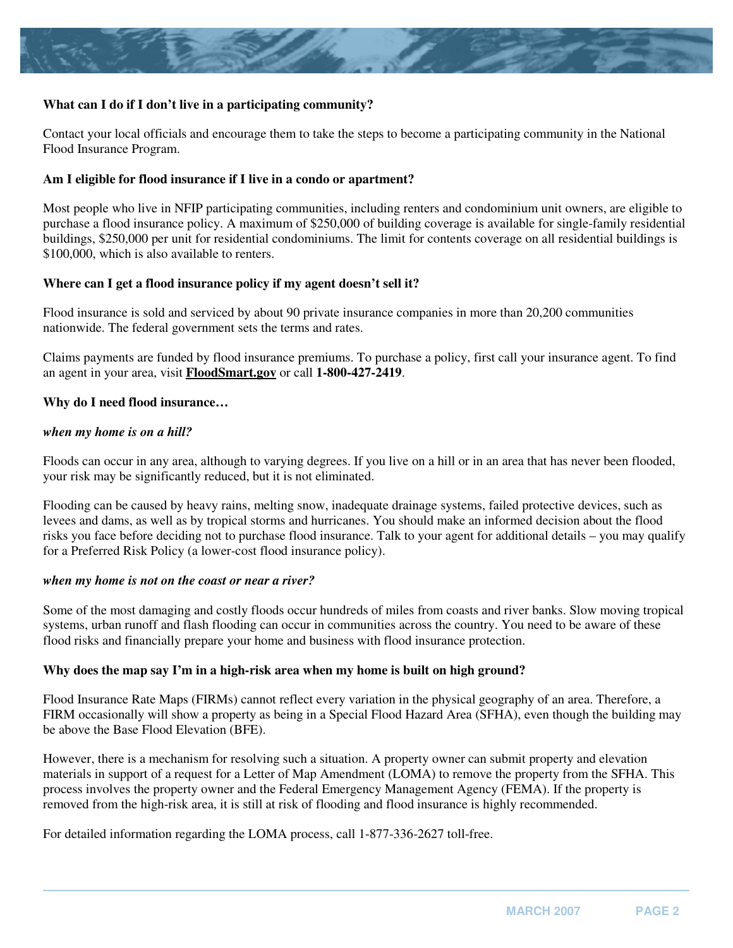

# **What can I do if I don't live in a participating community?**

Contact your local officials and encourage them to take the steps to become a participating community in the National Flood Insurance Program.

#### **Am I eligible for flood insurance if I live in a condo or apartment?**

Most people who live in NFIP participating communities, including renters and condominium unit owners, are eligible to purchase a flood insurance policy. A maximum of \$250,000 of building coverage is available for single-family residential buildings, \$250,000 per unit for residential condominiums. The limit for contents coverage on all residential buildings is \$100,000, which is also available to renters.

### **Where can I get a flood insurance policy if my agent doesn't sell it?**

Flood insurance is sold and serviced by about 90 private insurance companies in more than 20,200 communities nationwide. The federal government sets the terms and rates.

Claims payments are funded by flood insurance premiums. To purchase a policy, first call your insurance agent. To find an agent in your area, visit **[FloodSmart.gov](http://FloodSmart.gov)** or call **1-800-427-2419**.

#### **Why do I need flood insurance…**

#### *when my home is on a hill?*

Floods can occur in any area, although to varying degrees. If you live on a hill or in an area that has never been flooded, your risk may be significantly reduced, but it is not eliminated.

Flooding can be caused by heavy rains, melting snow, inadequate drainage systems, failed protective devices, such as levees and dams, as well as by tropical storms and hurricanes. You should make an informed decision about the flood risks you face before deciding not to purchase flood insurance. Talk to your agent for additional details – you may qualify for a Preferred Risk Policy (a lower-cost flood insurance policy).

#### *when my home is not on the coast or near a river?*

Some of the most damaging and costly floods occur hundreds of miles from coasts and river banks. Slow moving tropical systems, urban runoff and flash flooding can occur in communities across the country. You need to be aware of these flood risks and financially prepare your home and business with flood insurance protection.

#### **Why does the map say I'm in a high-risk area when my home is built on high ground?**

Flood Insurance Rate Maps (FIRMs) cannot reflect every variation in the physical geography of an area. Therefore, a FIRM occasionally will show a property as being in a Special Flood Hazard Area (SFHA), even though the building may be above the Base Flood Elevation (BFE).

However, there is a mechanism for resolving such a situation. A property owner can submit property and elevation materials in support of a request for a Letter of Map Amendment (LOMA) to remove the property from the SFHA. This process involves the property owner and the Federal Emergency Management Agency (FEMA). If the property is removed from the high-risk area, it is still at risk of flooding and flood insurance is highly recommended.

For detailed information regarding the LOMA process, call 1-877-336-2627 toll-free.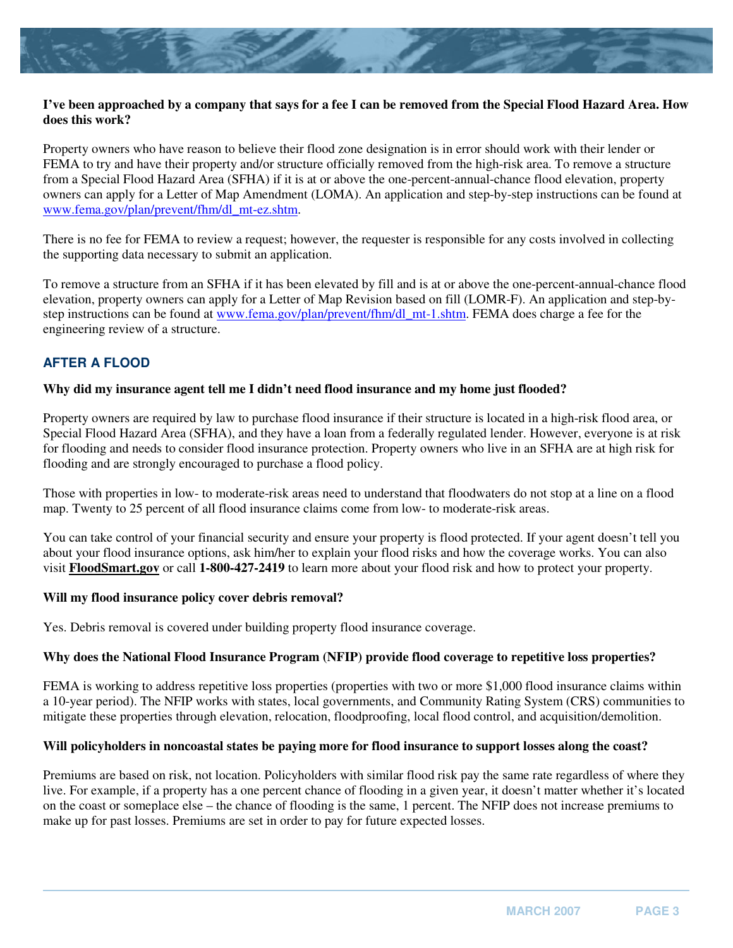

# **I've been approached by a company that says for a fee I can be removed from the Special Flood Hazard Area. How does this work?**

Property owners who have reason to believe their flood zone designation is in error should work with their lender or FEMA to try and have their property and/or structure officially removed from the high-risk area. To remove a structure from a Special Flood Hazard Area (SFHA) if it is at or above the one-percent-annual-chance flood elevation, property owners can apply for a Letter of Map Amendment (LOMA). An application and step-by-step instructions can be found at www.fema.gov/plan/prevent/fhm/dl\_mt-ez.shtm.

There is no fee for FEMA to review a request; however, the requester is responsible for any costs involved in collecting the supporting data necessary to submit an application.

To remove a structure from an SFHA if it has been elevated by fill and is at or above the one-percent-annual-chance flood elevation, property owners can apply for a Letter of Map Revision based on fill (LOMR-F). An application and step-bystep instructions can be found at www.fema.gov/plan/prevent/fhm/dl\_mt-1.shtm. FEMA does charge a fee for the engineering review of a structure.

# **AFTER A FLOOD**

# **Why did my insurance agent tell me I didn't need flood insurance and my home just flooded?**

Property owners are required by law to purchase flood insurance if their structure is located in a high-risk flood area, or Special Flood Hazard Area (SFHA), and they have a loan from a federally regulated lender. However, everyone is at risk for flooding and needs to consider flood insurance protection. Property owners who live in an SFHA are at high risk for flooding and are strongly encouraged to purchase a flood policy.

Those with properties in low- to moderate-risk areas need to understand that floodwaters do not stop at a line on a flood map. Twenty to 25 percent of all flood insurance claims come from low- to moderate-risk areas.

You can take control of your financial security and ensure your property is flood protected. If your agent doesn't tell you about your flood insurance options, ask him/her to explain your flood risks and how the coverage works. You can also visit **[FloodSmart.gov](http://FloodSmart.gov)** or call **1-800-427-2419** to learn more about your flood risk and how to protect your property.

# **Will my flood insurance policy cover debris removal?**

Yes. Debris removal is covered under building property flood insurance coverage.

# **Why does the National Flood Insurance Program (NFIP) provide flood coverage to repetitive loss properties?**

FEMA is working to address repetitive loss properties (properties with two or more \$1,000 flood insurance claims within a 10-year period). The NFIP works with states, local governments, and Community Rating System (CRS) communities to mitigate these properties through elevation, relocation, floodproofing, local flood control, and acquisition/demolition.

# **Will policyholders in noncoastal states be paying more for flood insurance to support losses along the coast?**

Premiums are based on risk, not location. Policyholders with similar flood risk pay the same rate regardless of where they live. For example, if a property has a one percent chance of flooding in a given year, it doesn't matter whether it's located on the coast or someplace else – the chance of flooding is the same, 1 percent. The NFIP does not increase premiums to make up for past losses. Premiums are set in order to pay for future expected losses.